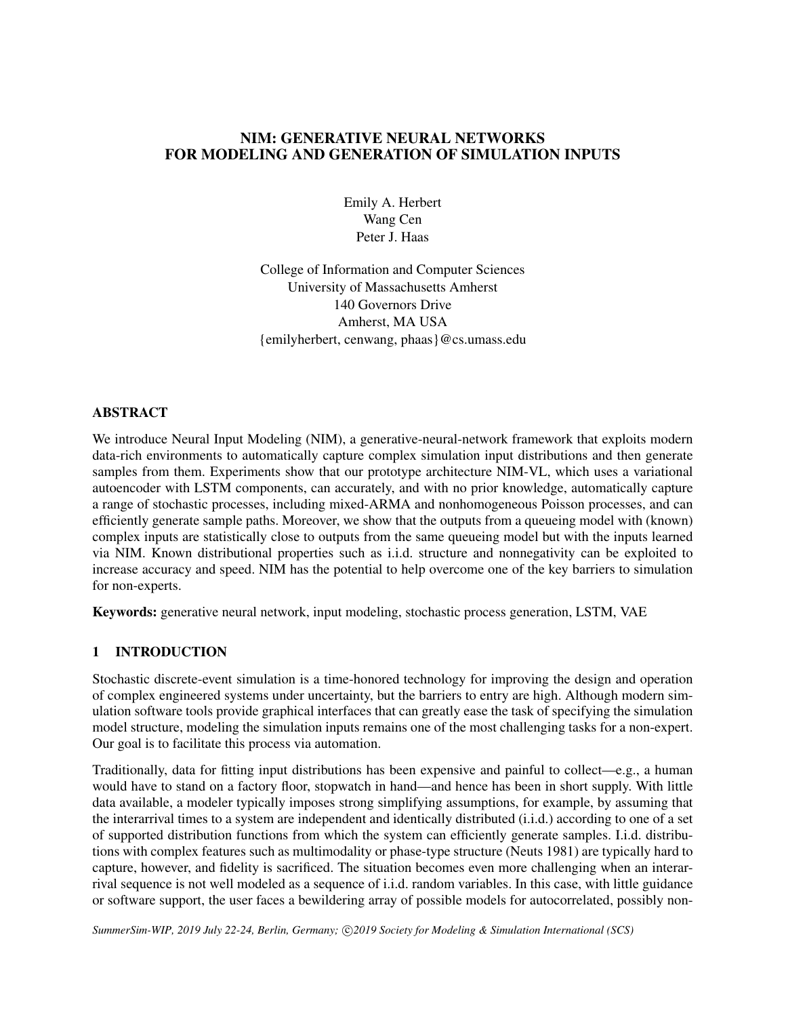# NIM: GENERATIVE NEURAL NETWORKS FOR MODELING AND GENERATION OF SIMULATION INPUTS

Emily A. Herbert Wang Cen Peter J. Haas

College of Information and Computer Sciences University of Massachusetts Amherst 140 Governors Drive Amherst, MA USA {emilyherbert, cenwang, phaas}@cs.umass.edu

### **ABSTRACT**

We introduce Neural Input Modeling (NIM), a generative-neural-network framework that exploits modern data-rich environments to automatically capture complex simulation input distributions and then generate samples from them. Experiments show that our prototype architecture NIM-VL, which uses a variational autoencoder with LSTM components, can accurately, and with no prior knowledge, automatically capture a range of stochastic processes, including mixed-ARMA and nonhomogeneous Poisson processes, and can efficiently generate sample paths. Moreover, we show that the outputs from a queueing model with (known) complex inputs are statistically close to outputs from the same queueing model but with the inputs learned via NIM. Known distributional properties such as i.i.d. structure and nonnegativity can be exploited to increase accuracy and speed. NIM has the potential to help overcome one of the key barriers to simulation for non-experts.

Keywords: generative neural network, input modeling, stochastic process generation, LSTM, VAE

## 1 INTRODUCTION

Stochastic discrete-event simulation is a time-honored technology for improving the design and operation of complex engineered systems under uncertainty, but the barriers to entry are high. Although modern simulation software tools provide graphical interfaces that can greatly ease the task of specifying the simulation model structure, modeling the simulation inputs remains one of the most challenging tasks for a non-expert. Our goal is to facilitate this process via automation.

Traditionally, data for fitting input distributions has been expensive and painful to collect—e.g., a human would have to stand on a factory floor, stopwatch in hand—and hence has been in short supply. With little data available, a modeler typically imposes strong simplifying assumptions, for example, by assuming that the interarrival times to a system are independent and identically distributed (i.i.d.) according to one of a set of supported distribution functions from which the system can efficiently generate samples. I.i.d. distributions with complex features such as multimodality or phase-type structure [\(Neuts 1981\)](#page-5-0) are typically hard to capture, however, and fidelity is sacrificed. The situation becomes even more challenging when an interarrival sequence is not well modeled as a sequence of i.i.d. random variables. In this case, with little guidance or software support, the user faces a bewildering array of possible models for autocorrelated, possibly non-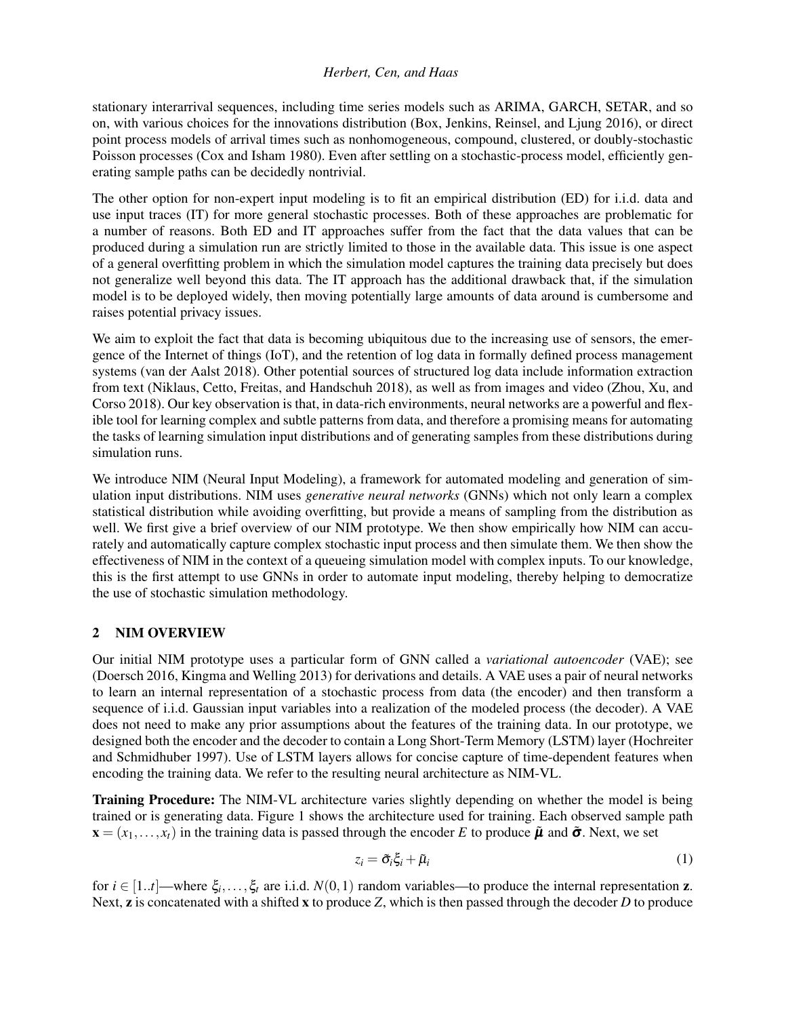stationary interarrival sequences, including time series models such as ARIMA, GARCH, SETAR, and so on, with various choices for the innovations distribution [\(Box, Jenkins, Reinsel, and Ljung 2016\)](#page-5-1), or direct point process models of arrival times such as nonhomogeneous, compound, clustered, or doubly-stochastic Poisson processes [\(Cox and Isham 1980\)](#page-5-2). Even after settling on a stochastic-process model, efficiently generating sample paths can be decidedly nontrivial.

The other option for non-expert input modeling is to fit an empirical distribution (ED) for i.i.d. data and use input traces (IT) for more general stochastic processes. Both of these approaches are problematic for a number of reasons. Both ED and IT approaches suffer from the fact that the data values that can be produced during a simulation run are strictly limited to those in the available data. This issue is one aspect of a general overfitting problem in which the simulation model captures the training data precisely but does not generalize well beyond this data. The IT approach has the additional drawback that, if the simulation model is to be deployed widely, then moving potentially large amounts of data around is cumbersome and raises potential privacy issues.

We aim to exploit the fact that data is becoming ubiquitous due to the increasing use of sensors, the emergence of the Internet of things (IoT), and the retention of log data in formally defined process management systems [\(van der Aalst 2018\)](#page-5-3). Other potential sources of structured log data include information extraction from text [\(Niklaus, Cetto, Freitas, and Handschuh 2018\)](#page-5-4), as well as from images and video [\(Zhou, Xu, and](#page-5-5) [Corso 2018\)](#page-5-5). Our key observation is that, in data-rich environments, neural networks are a powerful and flexible tool for learning complex and subtle patterns from data, and therefore a promising means for automating the tasks of learning simulation input distributions and of generating samples from these distributions during simulation runs.

We introduce NIM (Neural Input Modeling), a framework for automated modeling and generation of simulation input distributions. NIM uses *generative neural networks* (GNNs) which not only learn a complex statistical distribution while avoiding overfitting, but provide a means of sampling from the distribution as well. We first give a brief overview of our NIM prototype. We then show empirically how NIM can accurately and automatically capture complex stochastic input process and then simulate them. We then show the effectiveness of NIM in the context of a queueing simulation model with complex inputs. To our knowledge, this is the first attempt to use GNNs in order to automate input modeling, thereby helping to democratize the use of stochastic simulation methodology.

# <span id="page-1-1"></span>2 NIM OVERVIEW

Our initial NIM prototype uses a particular form of GNN called a *variational autoencoder* (VAE); see [\(Doersch 2016,](#page-5-6) [Kingma and Welling 2013\)](#page-5-7) for derivations and details. A VAE uses a pair of neural networks to learn an internal representation of a stochastic process from data (the encoder) and then transform a sequence of i.i.d. Gaussian input variables into a realization of the modeled process (the decoder). A VAE does not need to make any prior assumptions about the features of the training data. In our prototype, we designed both the encoder and the decoder to contain a Long Short-Term Memory (LSTM) layer [\(Hochreiter](#page-5-8) [and Schmidhuber 1997\)](#page-5-8). Use of LSTM layers allows for concise capture of time-dependent features when encoding the training data. We refer to the resulting neural architecture as NIM-VL.

**Training Procedure:** The NIM-VL architecture varies slightly depending on whether the model is being trained or is generating data. Figure [1](#page-2-0) shows the architecture used for training. Each observed sample path  $\mathbf{x} = (x_1, \dots, x_t)$  in the training data is passed through the encoder *E* to produce  $\tilde{\boldsymbol{\mu}}$  and  $\tilde{\boldsymbol{\sigma}}$ . Next, we set

<span id="page-1-0"></span>
$$
z_i = \tilde{\sigma}_i \xi_i + \tilde{\mu}_i \tag{1}
$$

for  $i \in [1..t]$ —where  $\xi_i, \ldots, \xi_t$  are i.i.d.  $N(0,1)$  random variables—to produce the internal representation **z**. Next, **z** is concatenated with a shifted **x** to produce *Z*, which is then passed through the decoder *D* to produce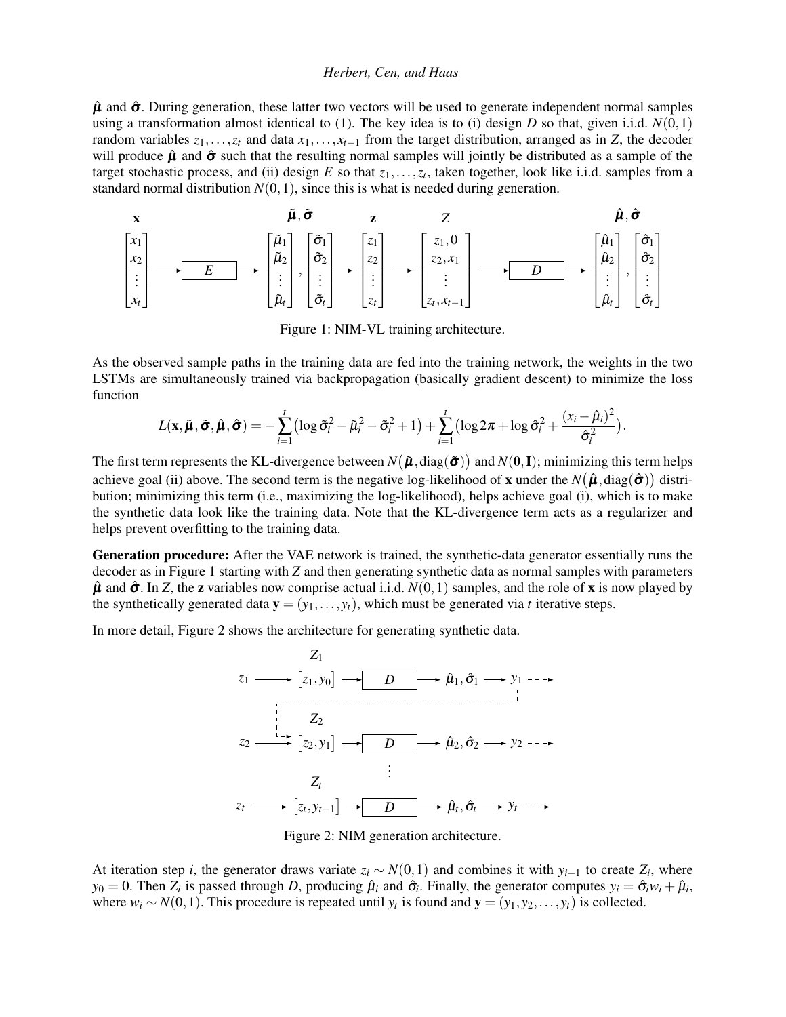$\hat{\mu}$  and  $\hat{\sigma}$ . During generation, these latter two vectors will be used to generate independent normal samples using a transformation almost identical to [\(1\)](#page-1-0). The key idea is to (i) design *D* so that, given i.i.d.  $N(0,1)$ random variables  $z_1, \ldots, z_t$  and data  $x_1, \ldots, x_{t-1}$  from the target distribution, arranged as in *Z*, the decoder will produce  $\hat{\mu}$  and  $\hat{\sigma}$  such that the resulting normal samples will jointly be distributed as a sample of the target stochastic process, and (ii) design  $E$  so that  $z_1, \ldots, z_t$ , taken together, look like i.i.d. samples from a standard normal distribution  $N(0,1)$ , since this is what is needed during generation.

<span id="page-2-0"></span>
$$
\begin{bmatrix}\n\mathbf{x} & \mathbf{\tilde{\mu}}, \tilde{\sigma} & \mathbf{z} & Z & \mathbf{\hat{\mu}}, \tilde{\sigma} \\
x_1 \\
x_2 \\
\vdots \\
x_t\n\end{bmatrix}\n\longrightarrow\n\begin{bmatrix}\n\mathbf{x}_1 \\
x_2 \\
\mathbf{x}_2 \\
\vdots \\
\mathbf{x}_t\n\end{bmatrix},\n\begin{bmatrix}\n\tilde{\sigma}_1 \\
\tilde{\sigma}_2 \\
\vdots \\
\tilde{\sigma}_t\n\end{bmatrix}\n\longrightarrow\n\begin{bmatrix}\nz_1 \\
z_2 \\
\vdots \\
z_t\n\end{bmatrix}\n\longrightarrow\n\begin{bmatrix}\nz_1, 0 \\
z_2, x_1 \\
\vdots \\
z_t, x_{t-1}\n\end{bmatrix}\n\longrightarrow\n\begin{bmatrix}\n\hat{\mu}_1 \\
\hat{\mu}_2 \\
\vdots \\
\hat{\mu}_t\n\end{bmatrix},\n\begin{bmatrix}\n\hat{\sigma}_1 \\
\hat{\sigma}_2 \\
\vdots \\
\hat{\sigma}_t\n\end{bmatrix}
$$

Figure 1: NIM-VL training architecture.

As the observed sample paths in the training data are fed into the training network, the weights in the two LSTMs are simultaneously trained via backpropagation (basically gradient descent) to minimize the loss function

$$
L(\mathbf{x}, \tilde{\boldsymbol{\mu}}, \tilde{\boldsymbol{\sigma}}, \hat{\boldsymbol{\mu}}, \hat{\boldsymbol{\sigma}}) = -\sum_{i=1}^t \left( \log \tilde{\sigma}_i^2 - \tilde{\mu}_i^2 - \tilde{\sigma}_i^2 + 1 \right) + \sum_{i=1}^t \left( \log 2\pi + \log \hat{\sigma}_i^2 + \frac{(x_i - \hat{\mu}_i)^2}{\hat{\sigma}_i^2} \right).
$$

The first term represents the KL-divergence between  $N\big(\bm{\tilde{\mu}},\mathrm{diag}(\bm{\tilde{\sigma}})\big)$  and  $N(\bm{0},\mathbf{I});$  minimizing this term helps achieve goal (ii) above. The second term is the negative log-likelihood of **x** under the  $N(\hat{\bm{\mu}},\mathrm{diag}(\hat{\bm{\sigma}}))$  distribution; minimizing this term (i.e., maximizing the log-likelihood), helps achieve goal (i), which is to make the synthetic data look like the training data. Note that the KL-divergence term acts as a regularizer and helps prevent overfitting to the training data.

Generation procedure: After the VAE network is trained, the synthetic-data generator essentially runs the decoder as in Figure [1](#page-2-0) starting with *Z* and then generating synthetic data as normal samples with parameters  $\hat{\mu}$  and  $\hat{\sigma}$ . In *Z*, the **z** variables now comprise actual i.i.d.  $N(0,1)$  samples, and the role of **x** is now played by the synthetically generated data  $\mathbf{y} = (y_1, \ldots, y_t)$ , which must be generated via *t* iterative steps.

<span id="page-2-1"></span>In more detail, Figure [2](#page-2-1) shows the architecture for generating synthetic data.





At iteration step *i*, the generator draws variate  $z_i \sim N(0,1)$  and combines it with  $y_{i-1}$  to create  $Z_i$ , where  $y_0 = 0$ . Then  $Z_i$  is passed through *D*, producing  $\hat{\mu}_i$  and  $\hat{\sigma}_i$ . Finally, the generator computes  $y_i = \hat{\sigma}_i w_i + \hat{\mu}_i$ , where  $w_i \sim N(0,1)$ . This procedure is repeated until  $y_t$  is found and  $\mathbf{y} = (y_1, y_2, \dots, y_t)$  is collected.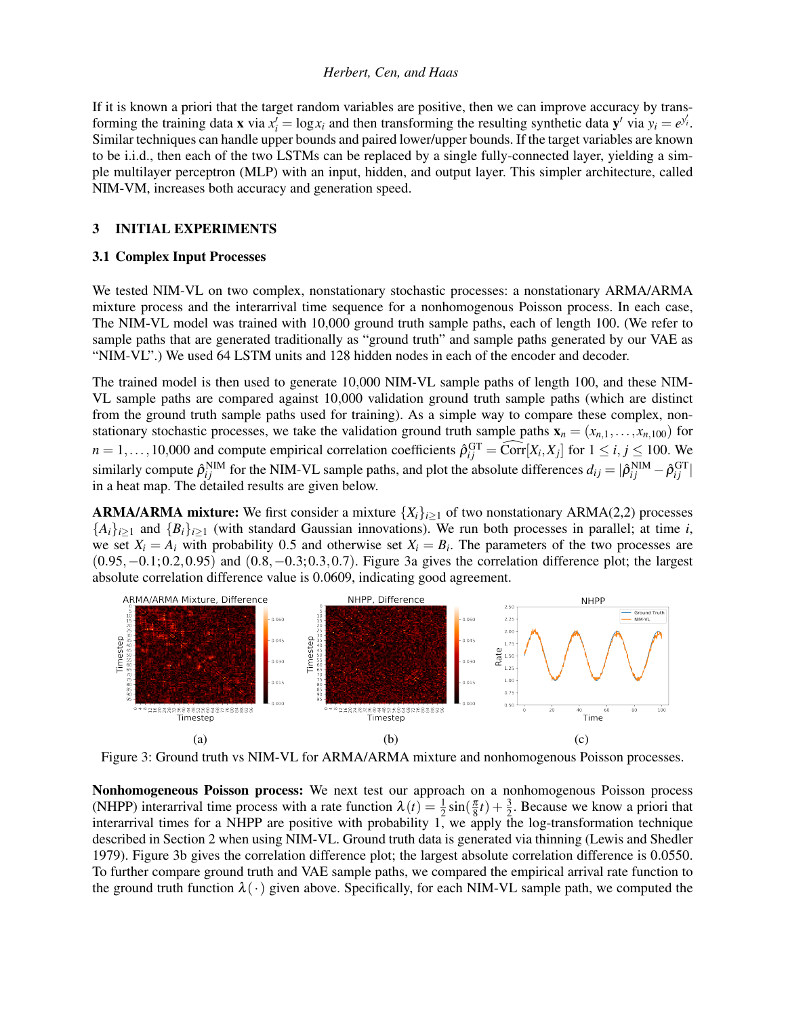If it is known a priori that the target random variables are positive, then we can improve accuracy by transforming the training data **x** via  $x'_i = \log x_i$  and then transforming the resulting synthetic data **y**' via  $y_i = e^{y'_i}$ . Similar techniques can handle upper bounds and paired lower/upper bounds. If the target variables are known to be i.i.d., then each of the two LSTMs can be replaced by a single fully-connected layer, yielding a simple multilayer perceptron (MLP) with an input, hidden, and output layer. This simpler architecture, called NIM-VM, increases both accuracy and generation speed.

#### 3 INITIAL EXPERIMENTS

#### 3.1 Complex Input Processes

We tested NIM-VL on two complex, nonstationary stochastic processes: a nonstationary ARMA/ARMA mixture process and the interarrival time sequence for a nonhomogenous Poisson process. In each case, The NIM-VL model was trained with 10,000 ground truth sample paths, each of length 100. (We refer to sample paths that are generated traditionally as "ground truth" and sample paths generated by our VAE as "NIM-VL".) We used 64 LSTM units and 128 hidden nodes in each of the encoder and decoder.

The trained model is then used to generate 10,000 NIM-VL sample paths of length 100, and these NIM-VL sample paths are compared against 10,000 validation ground truth sample paths (which are distinct from the ground truth sample paths used for training). As a simple way to compare these complex, nonstationary stochastic processes, we take the validation ground truth sample paths  $\mathbf{x}_n = (x_{n,1},...,x_{n,100})$  for  $n = 1, \ldots, 10,000$  and compute empirical correlation coefficients  $\hat{\rho}_{ij}^{\text{GT}} = \widehat{\text{Corr}}[X_i, X_j]$  for  $1 \le i, j \le 100$ . We similarly compute  $\hat{\rho}_{ij}^{NIM}$  for the NIM-VL sample paths, and plot the absolute differences  $d_{ij} = |\hat{\rho}_{ij}^{NIM} - \hat{\rho}_{ij}^{GT}|$ in a heat map. The detailed results are given below.

**ARMA/ARMA mixture:** We first consider a mixture  $\{X_i\}_{i>1}$  of two nonstationary ARMA(2,2) processes  ${A_i}_{i\geq 1}$  and  ${B_i}_{i\geq 1}$  (with standard Gaussian innovations). We run both processes in parallel; at time *i*, we set  $X_i = A_i$  with probability 0.5 and otherwise set  $X_i = B_i$ . The parameters of the two processes are  $(0.95, -0.1; 0.2, 0.95)$  and  $(0.8, -0.3; 0.3, 0.7)$ . Figure [3a](#page-3-0) gives the correlation difference plot; the largest absolute correlation difference value is 0.0609, indicating good agreement.

<span id="page-3-0"></span>

Figure 3: Ground truth vs NIM-VL for ARMA/ARMA mixture and nonhomogenous Poisson processes.

Nonhomogeneous Poisson process: We next test our approach on a nonhomogenous Poisson process (NHPP) interarrival time process with a rate function  $\lambda(t) = \frac{1}{2} \sin(\frac{\pi}{8}t) + \frac{3}{2}$ . Because we know a priori that interarrival times for a NHPP are positive with probability 1, we apply the log-transformation technique described in Section [2](#page-1-1) when using NIM-VL. Ground truth data is generated via thinning [\(Lewis and Shedler](#page-5-9) [1979\)](#page-5-9). Figure [3b](#page-3-0) gives the correlation difference plot; the largest absolute correlation difference is 0.0550. To further compare ground truth and VAE sample paths, we compared the empirical arrival rate function to the ground truth function  $\lambda(\cdot)$  given above. Specifically, for each NIM-VL sample path, we computed the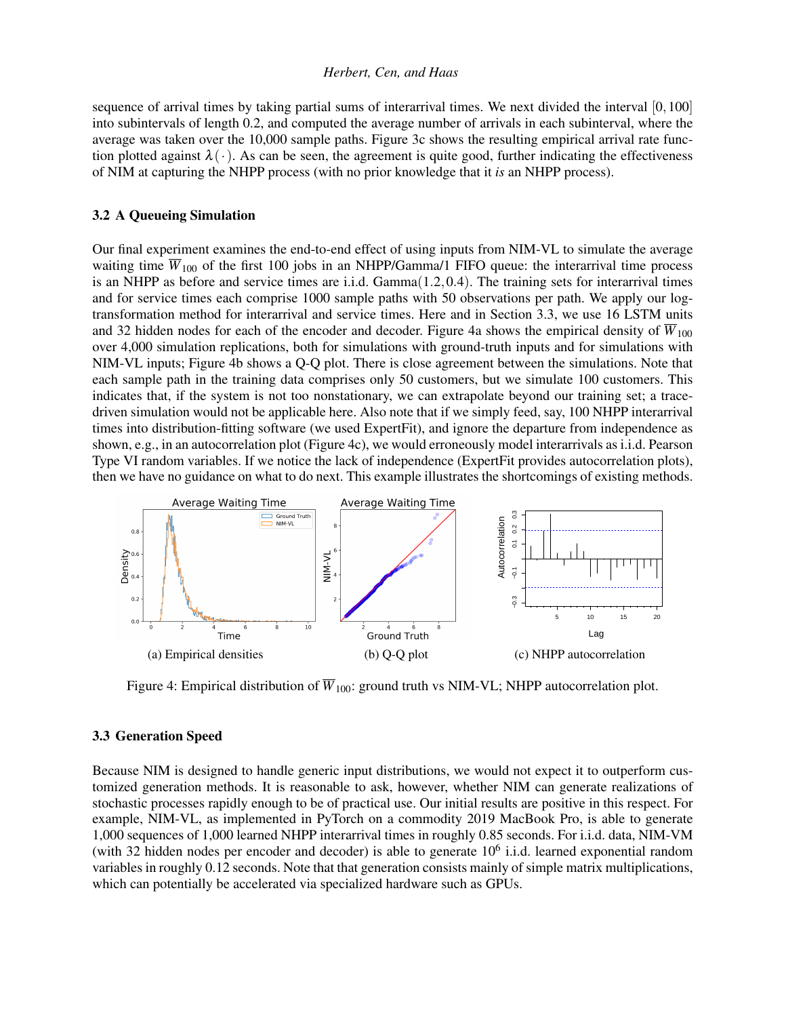sequence of arrival times by taking partial sums of interarrival times. We next divided the interval [0,100] into subintervals of length 0.2, and computed the average number of arrivals in each subinterval, where the average was taken over the 10,000 sample paths. Figure [3c](#page-3-0) shows the resulting empirical arrival rate function plotted against  $\lambda(\cdot)$ . As can be seen, the agreement is quite good, further indicating the effectiveness of NIM at capturing the NHPP process (with no prior knowledge that it *is* an NHPP process).

### 3.2 A Queueing Simulation

Our final experiment examines the end-to-end effect of using inputs from NIM-VL to simulate the average waiting time  $\overline{W}_{100}$  of the first 100 jobs in an NHPP/Gamma/1 FIFO queue: the interarrival time process is an NHPP as before and service times are i.i.d. Gamma(1.2,0.4). The training sets for interarrival times and for service times each comprise 1000 sample paths with 50 observations per path. We apply our logtransformation method for interarrival and service times. Here and in Section [3.3,](#page-4-0) we use 16 LSTM units and 32 hidden nodes for each of the encoder and decoder. Figure [4a](#page-4-1) shows the empirical density of  $\overline{W}_{100}$ over 4,000 simulation replications, both for simulations with ground-truth inputs and for simulations with NIM-VL inputs; Figure [4b](#page-4-1) shows a Q-Q plot. There is close agreement between the simulations. Note that each sample path in the training data comprises only 50 customers, but we simulate 100 customers. This indicates that, if the system is not too nonstationary, we can extrapolate beyond our training set; a tracedriven simulation would not be applicable here. Also note that if we simply feed, say, 100 NHPP interarrival times into distribution-fitting software (we used ExpertFit), and ignore the departure from independence as shown, e.g., in an autocorrelation plot (Figure [4c\)](#page-4-1), we would erroneously model interarrivals as i.i.d. Pearson Type VI random variables. If we notice the lack of independence (ExpertFit provides autocorrelation plots), then we have no guidance on what to do next. This example illustrates the shortcomings of existing methods.

<span id="page-4-1"></span>

Figure 4: Empirical distribution of  $\overline{W}_{100}$ : ground truth vs NIM-VL; NHPP autocorrelation plot.

#### <span id="page-4-0"></span>3.3 Generation Speed

Because NIM is designed to handle generic input distributions, we would not expect it to outperform customized generation methods. It is reasonable to ask, however, whether NIM can generate realizations of stochastic processes rapidly enough to be of practical use. Our initial results are positive in this respect. For example, NIM-VL, as implemented in PyTorch on a commodity 2019 MacBook Pro, is able to generate 1,000 sequences of 1,000 learned NHPP interarrival times in roughly 0.85 seconds. For i.i.d. data, NIM-VM (with 32 hidden nodes per encoder and decoder) is able to generate  $10<sup>6</sup>$  i.i.d. learned exponential random variables in roughly 0.12 seconds. Note that that generation consists mainly of simple matrix multiplications, which can potentially be accelerated via specialized hardware such as GPUs.